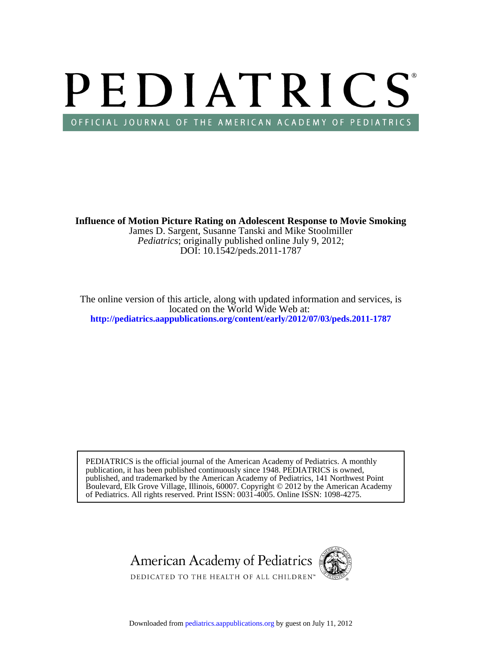# PEDIATRICS OFFICIAL JOURNAL OF THE AMERICAN ACADEMY OF PEDIATRICS

DOI: 10.1542/peds.2011-1787 *Pediatrics*; originally published online July 9, 2012; James D. Sargent, Susanne Tanski and Mike Stoolmiller **Influence of Motion Picture Rating on Adolescent Response to Movie Smoking**

**<http://pediatrics.aappublications.org/content/early/2012/07/03/peds.2011-1787>** located on the World Wide Web at: The online version of this article, along with updated information and services, is

of Pediatrics. All rights reserved. Print ISSN: 0031-4005. Online ISSN: 1098-4275. Boulevard, Elk Grove Village, Illinois, 60007. Copyright © 2012 by the American Academy published, and trademarked by the American Academy of Pediatrics, 141 Northwest Point publication, it has been published continuously since 1948. PEDIATRICS is owned, PEDIATRICS is the official journal of the American Academy of Pediatrics. A monthly



Downloaded from [pediatrics.aappublications.org](http://pediatrics.aappublications.org/) by guest on July 11, 2012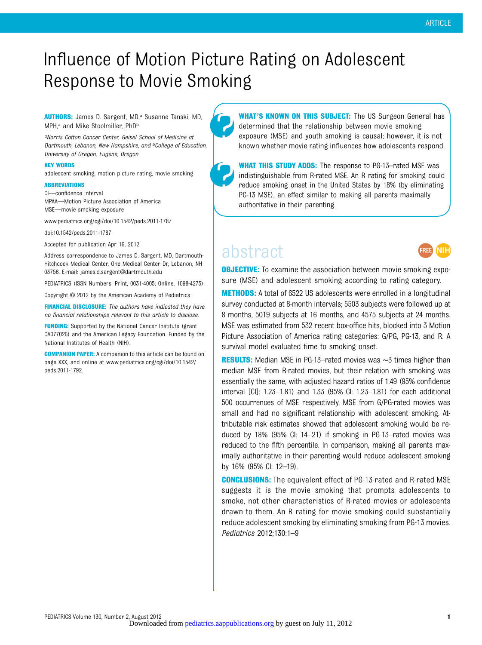## Influence of Motion Picture Rating on Adolescent Response to Movie Smoking

#### AUTHORS: James D. Sargent, MD,<sup>a</sup> Susanne Tanski, MD, MPH,<sup>a</sup> and Mike Stoolmiller, PhD<sup>b</sup>

aNorris Cotton Cancer Center, Geisel School of Medicine at Dartmouth, Lebanon, New Hampshire; and <sup>b</sup>College of Education, University of Oregon, Eugene, Oregon

#### KEY WORDS

adolescent smoking, motion picture rating, movie smoking

#### **ABBREVIATIONS**

CI—confidence interval MPAA—Motion Picture Association of America MSE—movie smoking exposure

www.pediatrics.org/cgi/doi/10.1542/peds.2011-1787

doi:10.1542/peds.2011-1787

Accepted for publication Apr 16, 2012

Address correspondence to James D. Sargent, MD, Dartmouth-Hitchcock Medical Center, One Medical Center Dr, Lebanon, NH 03756. E-mail: [james.d.sargent@dartmouth.edu](mailto:james.d.sargent@dartmouth.edu)

PEDIATRICS (ISSN Numbers: Print, 0031-4005; Online, 1098-4275).

Copyright © 2012 by the American Academy of Pediatrics

FINANCIAL DISCLOSURE: The authors have indicated they have no financial relationships relevant to this article to disclose.

**FUNDING:** Supported by the National Cancer Institute (grant CA077026) and the American Legacy Foundation. Funded by the National Institutes of Health (NIH).

COMPANION PAPER: A companion to this article can be found on page XXX, and online at [www.pediatrics.org/cgi/doi/10.1542/](http://www.pediatrics.org/cgi/doi/10.1542/peds.2011-1792) [peds.2011-1792](http://www.pediatrics.org/cgi/doi/10.1542/peds.2011-1792).

WHAT'S KNOWN ON THIS SUBJECT: The US Surgeon General has determined that the relationship between movie smoking exposure (MSE) and youth smoking is causal; however, it is not known whether movie rating influences how adolescents respond.

WHAT THIS STUDY ADDS: The response to PG-13-rated MSE was indistinguishable from R-rated MSE. An R rating for smoking could reduce smoking onset in the United States by 18% (by eliminating PG-13 MSE), an effect similar to making all parents maximally authoritative in their parenting.

### abstract



**OBJECTIVE:** To examine the association between movie smoking exposure (MSE) and adolescent smoking according to rating category.

**METHODS:** A total of 6522 US adolescents were enrolled in a longitudinal survey conducted at 8-month intervals; 5503 subjects were followed up at 8 months, 5019 subjects at 16 months, and 4575 subjects at 24 months. MSE was estimated from 532 recent box-office hits, blocked into 3 Motion Picture Association of America rating categories: G/PG, PG-13, and R. A survival model evaluated time to smoking onset.

RESULTS: Median MSE in PG-13–rated movies was ∼3 times higher than median MSE from R-rated movies, but their relation with smoking was essentially the same, with adjusted hazard ratios of 1.49 (95% confidence interval [CI]: 1.23–1.81) and 1.33 (95% CI: 1.23–1.81) for each additional 500 occurrences of MSE respectively. MSE from G/PG-rated movies was small and had no significant relationship with adolescent smoking. Attributable risk estimates showed that adolescent smoking would be reduced by 18% (95% CI: 14–21) if smoking in PG-13–rated movies was reduced to the fifth percentile. In comparison, making all parents maximally authoritative in their parenting would reduce adolescent smoking by 16% (95% CI: 12–19).

**CONCLUSIONS:** The equivalent effect of PG-13-rated and R-rated MSE suggests it is the movie smoking that prompts adolescents to smoke, not other characteristics of R-rated movies or adolescents drawn to them. An R rating for movie smoking could substantially reduce adolescent smoking by eliminating smoking from PG-13 movies. Pediatrics 2012;130:1–9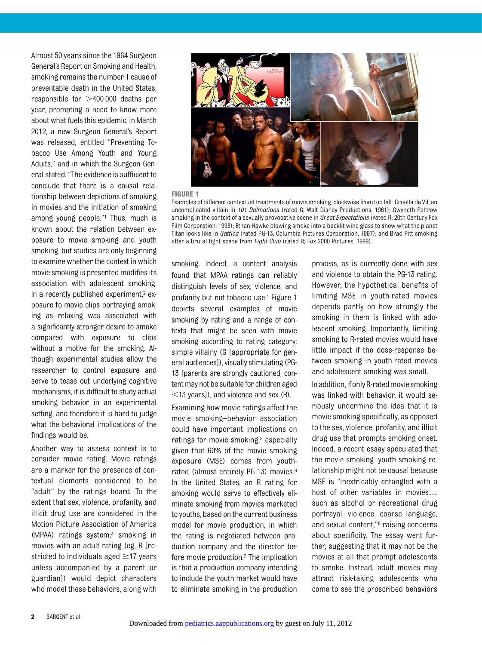Almost 50 years since the 1964 Surgeon General's Report on Smoking and Health, smoking remains the number 1 cause of preventable death in the United States, responsible for  $>400 000$  deaths per year, prompting a need to know more about what fuels this epidemic. In March 2012, a new Surgeon General's Report was released, entitled "Preventing Tobacco Use Among Youth and Young Adults," and in which the Surgeon General stated: "The evidence is sufficient to conclude that there is a causal relationship between depictions of smoking in movies and the initiation of smoking among young people."<sup>1</sup> Thus, much is known about the relation between exposure to movie smoking and youth smoking, but studies are only beginning to examine whether the context in which movie smoking is presented modifies its association with adolescent smoking. In a recently published experiment, $2$  exposure to movie clips portraying smoking as relaxing was associated with a significantly stronger desire to smoke compared with exposure to clips without a motive for the smoking. Although experimental studies allow the researcher to control exposure and serve to tease out underlying cognitive mechanisms, it is difficult to study actual smoking behavior in an experimental setting, and therefore it is hard to judge what the behavioral implications of the findings would be.

Another way to assess context is to consider movie rating. Movie ratings are a marker for the presence of contextual elements considered to be "adult" by the ratings board. To the extent that sex, violence, profanity, and illicit drug use are considered in the Motion Picture Association of America  $(MPAA)$  ratings system,<sup>3</sup> smoking in movies with an adult rating (eg, R [restricted to individuals aged  $\geq$ 17 years unless accompanied by a parent or guardian]) would depict characters who model these behaviors, along with smoking. Indeed, a content analysis found that MPAA ratings can reliably distinguish levels of sex, violence, and profanity but not tobacco use.4 Figure 1 depicts several examples of movie smoking by rating and a range of contexts that might be seen with movie smoking according to rating category: simple villainy (G [appropriate for general audiences]), visually stimulating (PG-13 [parents are strongly cautioned, content may not be suitable for children aged  $<$ 13 years]), and violence and sex (R).

Examining how movie ratings affect the movie smoking–behavior association could have important implications on ratings for movie smoking,<sup>5</sup> especially given that 60% of the movie smoking exposure (MSE) comes from youthrated (almost entirely PG-13) movies.6 In the United States, an R rating for smoking would serve to effectively eliminate smoking from movies marketed to youths, based on the current business model for movie production, in which the rating is negotiated between production company and the director before movie production.<sup>7</sup> The implication is that a production company intending to include the youth market would have to eliminate smoking in the production

process, as is currently done with sex and violence to obtain the PG-13 rating. However, the hypothetical benefits of limiting MSE in youth-rated movies depends partly on how strongly the smoking in them is linked with adolescent smoking. Importantly, limiting smoking to R-rated movies would have little impact if the dose-response between smoking in youth-rated movies and adolescent smoking was small.

In addition, if only R-rated movie smoking was linked with behavior, it would seriously undermine the idea that it is movie smoking specifically, as opposed to the sex, violence, profanity, and illicit drug use that prompts smoking onset. Indeed, a recent essay speculated that the movie smoking–youth smoking relationship might not be causal because MSE is "inextricably entangled with a host of other variables in movies… such as alcohol or recreational drug portrayal, violence, coarse language, and sexual content,"<sup>8</sup> raising concerns about specificity. The essay went further, suggesting that it may not be the movies at all that prompt adolescents to smoke. Instead, adult movies may attract risk-taking adolescents who come to see the proscribed behaviors



#### FIGURE 1

Examples of different contextual treatments of movie smoking, clockwise from top left: Cruella de Vil, an uncomplicated villain in 101 Dalmatians (rated G; Walt Disney Productions, 1961); Gwyneth Paltrow smoking in the context of a sexually provocative scene in Great Expectations (rated R; 20th Century Fox Film Corporation, 1998); Ethan Hawke blowing smoke into a backlit wine glass to show what the planet Titan looks like in *Gattica* (rated PG-13; Columbia Pictures Corporation, 1997); and Brad Pitt smoking after a brutal fight scene from Fight Club (rated R; Fox 2000 Pictures, 1999).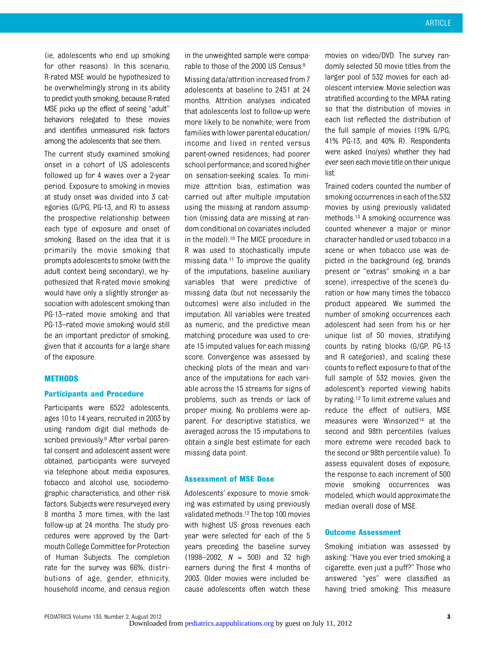(ie, adolescents who end up smoking for other reasons). In this scenario, R-rated MSE would be hypothesized to be overwhelmingly strong in its ability to predict youth smoking, because R-rated MSE picks up the effect of seeing "adult" behaviors relegated to these movies and identifies unmeasured risk factors among the adolescents that see them.

The current study examined smoking onset in a cohort of US adolescents followed up for 4 waves over a 2-year period. Exposure to smoking in movies at study onset was divided into 3 categories (G/PG, PG-13, and R) to assess the prospective relationship between each type of exposure and onset of smoking. Based on the idea that it is primarily the movie smoking that prompts adolescents to smoke (with the adult context being secondary), we hypothesized that R-rated movie smoking would have only a slightly stronger association with adolescent smoking than PG-13–rated movie smoking and that PG-13–rated movie smoking would still be an important predictor of smoking, given that it accounts for a large share of the exposure.

#### METHODS

#### Participants and Procedure

Participants were 6522 adolescents, ages 10 to 14 years, recruited in 2003 by using random digit dial methods described previously.9 After verbal parental consent and adolescent assent were obtained, participants were surveyed via telephone about media exposures, tobacco and alcohol use, sociodemographic characteristics, and other risk factors. Subjects were resurveyed every 8 months 3 more times, with the last follow-up at 24 months. The study procedures were approved by the Dartmouth College Committee for Protection of Human Subjects. The completion rate for the survey was 66%; distributions of age, gender, ethnicity, household income, and census region

in the unweighted sample were comparable to those of the 2000 US Census.9

Missing data/attrition increased from 7 adolescents at baseline to 2451 at 24 months. Attrition analyses indicated that adolescents lost to follow-up were more likely to be nonwhite; were from families with lower parental education/ income and lived in rented versus parent-owned residences; had poorer school performance; and scored higher on sensation-seeking scales. To minimize attrition bias, estimation was carried out after multiple imputation using the missing at random assumption (missing data are missing at random conditional on covariates included in the model).10 The MICE procedure in R was used to stochastically impute missing data.11 To improve the quality of the imputations, baseline auxiliary variables that were predictive of missing data (but not necessarily the outcomes) were also included in the imputation. All variables were treated as numeric, and the predictive mean matching procedure was used to create 15 imputed values for each missing score. Convergence was assessed by checking plots of the mean and variance of the imputations for each variable across the 15 streams for signs of problems, such as trends or lack of proper mixing. No problems were apparent. For descriptive statistics, we averaged across the 15 imputations to obtain a single best estimate for each missing data point.

#### Assessment of MSE Dose

Adolescents' exposure to movie smoking was estimated by using previously validated methods.12 The top 100 movies with highest US gross revenues each year were selected for each of the 5 years preceding the baseline survey  $(1998-2002, N = 500)$  and 32 high earners during the first 4 months of 2003. Older movies were included because adolescents often watch these

movies on video/DVD. The survey randomly selected 50 movie titles from the larger pool of 532 movies for each adolescent interview. Movie selection was stratified according to the MPAA rating so that the distribution of movies in each list reflected the distribution of the full sample of movies (19% G/PG, 41% PG-13, and 40% R). Respondents were asked (no/yes) whether they had ever seen each movie title on their unique list.

Trained coders counted the number of smoking occurrences in each of the 532 movies by using previously validated methods.13 A smoking occurrence was counted whenever a major or minor character handled or used tobacco in a scene or when tobacco use was depicted in the background (eg, brands present or "extras" smoking in a bar scene), irrespective of the scene's duration or how many times the tobacco product appeared. We summed the number of smoking occurrences each adolescent had seen from his or her unique list of 50 movies, stratifying counts by rating blocks (G/GP, PG-13 and R categories), and scaling these counts to reflect exposure to that of the full sample of 532 movies, given the adolescent's reported viewing habits by rating.12 To limit extreme values and reduce the effect of outliers, MSE measures were Winsorized<sup>14</sup> at the second and 98th percentiles (values more extreme were recoded back to the second or 98th percentile value). To assess equivalent doses of exposure, the response to each increment of 500 movie smoking occurrences was modeled, which would approximate the median overall dose of MSE.

#### Outcome Assessment

Smoking initiation was assessed by asking: "Have you ever tried smoking a cigarette, even just a puff?" Those who answered "yes" were classified as having tried smoking. This measure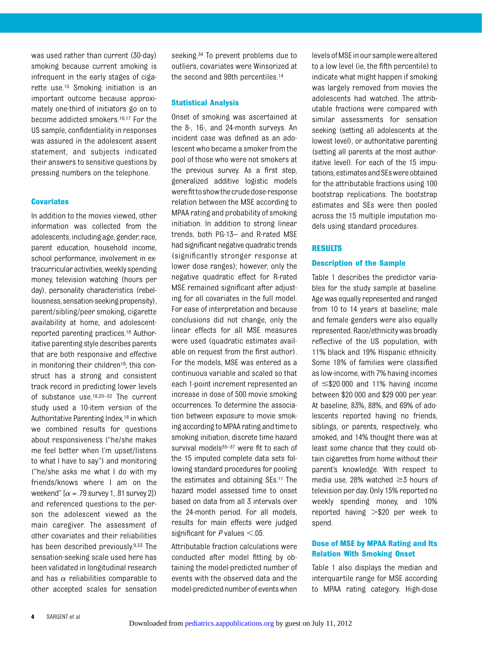was used rather than current (30-day) smoking because current smoking is infrequent in the early stages of cigarette use.15 Smoking initiation is an important outcome because approximately one-third of initiators go on to become addicted smokers.16,17 For the US sample, confidentiality in responses was assured in the adolescent assent statement, and subjects indicated their answers to sensitive questions by pressing numbers on the telephone.

#### **Covariates**

In addition to the movies viewed, other information was collected from the adolescents, including age, gender, race, parent education, household income, school performance, involvement in extracurricular activities, weekly spending money, television watching (hours per day), personality characteristics (rebelliousness, sensation-seeking propensity), parent/sibling/peer smoking, cigarette availability at home, and adolescentreported parenting practices.18 Authoritative parenting style describes parents that are both responsive and effective in monitoring their children<sup>19</sup>; this construct has a strong and consistent track record in predicting lower levels of substance use.18,20–<sup>32</sup> The current study used a 10-item version of the Authoritative Parenting Index,18 in which we combined results for questions about responsiveness ("he/she makes me feel better when I'm upset/listens to what I have to say") and monitoring ("he/she asks me what I do with my friends/knows where I am on the weekend"  $[\alpha = .79$  survey 1, .81 survey 2]) and referenced questions to the person the adolescent viewed as the main caregiver. The assessment of other covariates and their reliabilities has been described previously.9,33 The sensation-seeking scale used here has been validated in longitudinal research and has  $\alpha$  reliabilities comparable to other accepted scales for sensation seeking.<sup>34</sup> To prevent problems due to outliers, covariates were Winsorized at the second and 98th percentiles.14

#### Statistical Analysis

Onset of smoking was ascertained at the 8-, 16-, and 24-month surveys. An incident case was defined as an adolescent who became a smoker from the pool of those who were not smokers at the previous survey. As a first step, generalized additive logistic models were fit to show the crude dose-response relation between the MSE according to MPAA rating and probability of smoking initiation. In addition to strong linear trends, both PG-13– and R-rated MSE had significant negative quadratic trends (significantly stronger response at lower dose ranges); however, only the negative quadratic effect for R-rated MSE remained significant after adjusting for all covariates in the full model. For ease of interpretation and because conclusions did not change, only the linear effects for all MSE measures were used (quadratic estimates available on request from the first author). For the models, MSE was entered as a continuous variable and scaled so that each 1-point increment represented an increase in dose of 500 movie smoking occurrences. To determine the association between exposure to movie smoking according to MPAA rating and timeto smoking initiation, discrete time hazard survival models $35-37$  were fit to each of the 15 imputed complete data sets following standard procedures for pooling the estimates and obtaining SEs.11 The hazard model assessed time to onset based on data from all 3 intervals over the 24-month period. For all models, results for main effects were judged significant for  $P$  values  $<$ .05.

Attributable fraction calculations were conducted after model fitting by obtaining the model-predicted number of events with the observed data and the model-predicted number of eventswhen

levelsofMSEinour samplewerealtered to a low level (ie, the fifth percentile) to indicate what might happen if smoking was largely removed from movies the adolescents had watched. The attributable fractions were compared with similar assessments for sensation seeking (setting all adolescents at the lowest level), or authoritative parenting (setting all parents at the most authoritative level). For each of the 15 imputations, estimates and SEs were obtained for the attributable fractions using 100 bootstrap replications. The bootstrap estimates and SEs were then pooled across the 15 multiple imputation models using standard procedures.

#### RESULTS

#### Description of the Sample

Table 1 describes the predictor variables for the study sample at baseline. Age was equally represented and ranged from 10 to 14 years at baseline; male and female genders were also equally represented. Race/ethnicity was broadly reflective of the US population, with 11% black and 19% Hispanic ethnicity. Some 18% of families were classified as low-income, with 7% having incomes of  $\leq$ \$20 000 and 11% having income between \$20 000 and \$29 000 per year. At baseline, 83%, 88%, and 69% of adolescents reported having no friends, siblings, or parents, respectively, who smoked, and 14% thought there was at least some chance that they could obtain cigarettes from home without their parent's knowledge. With respect to media use, 28% watched  $\geq$ 3 hours of television per day. Only 15% reported no weekly spending money, and 10% reported having  $> $20$  per week to spend.

#### Dose of MSE by MPAA Rating and Its Relation With Smoking Onset

Table 1 also displays the median and interquartile range for MSE according to MPAA rating category. High-dose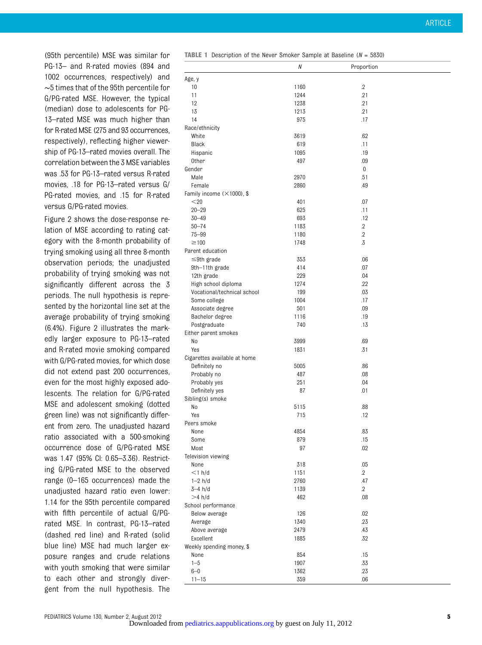(95th percentile) MSE was similar for PG-13– and R-rated movies (894 and 1002 occurrences, respectively) and ∼5 times that of the 95th percentile for G/PG-rated MSE. However, the typical (median) dose to adolescents for PG-13–rated MSE was much higher than for R-rated MSE (275 and 93 occurrences, respectively), reflecting higher viewership of PG-13–rated movies overall. The correlation between the 3 MSE variables was .53 for PG-13–rated versus R-rated movies, .18 for PG-13–rated versus G/ PG-rated movies, and .15 for R-rated versus G/PG-rated movies.

Figure 2 shows the dose-response relation of MSE according to rating category with the 8-month probability of trying smoking using all three 8-month observation periods; the unadjusted probability of trying smoking was not significantly different across the 3 periods. The null hypothesis is represented by the horizontal line set at the average probability of trying smoking (6.4%). Figure 2 illustrates the markedly larger exposure to PG-13–rated and R-rated movie smoking compared with G/PG-rated movies, for which dose did not extend past 200 occurrences, even for the most highly exposed adolescents. The relation for G/PG-rated MSE and adolescent smoking (dotted green line) was not significantly different from zero. The unadjusted hazard ratio associated with a 500-smoking occurrence dose of G/PG-rated MSE was 1.47 (95% CI: 0.65–3.36). Restricting G/PG-rated MSE to the observed range (0–165 occurrences) made the unadjusted hazard ratio even lower: 1.14 for the 95th percentile compared with fifth percentile of actual G/PGrated MSE. In contrast, PG-13–rated (dashed red line) and R-rated (solid blue line) MSE had much larger exposure ranges and crude relations with youth smoking that were similar to each other and strongly divergent from the null hypothesis. The **TABLE 1** Description of the Never Smoker Sample at Baseline ( $N = 5830$ )

|                                    | Ν    | Proportion |  |
|------------------------------------|------|------------|--|
| Age, y                             |      |            |  |
| 10                                 | 1160 | $\cdot$ .2 |  |
| 11                                 | 1244 | .21        |  |
| 12                                 | 1238 | .21        |  |
| 13                                 | 1213 | .21        |  |
| 14                                 | 975  | .17        |  |
| Race/ethnicity                     |      |            |  |
| White                              | 3619 | .62        |  |
| Black                              | 619  | .11        |  |
| Hispanic                           | 1095 | .19        |  |
| Other                              | 497  | .09        |  |
| Gender                             |      | 0          |  |
| Male                               | 2970 | .51        |  |
| Female                             | 2860 | .49        |  |
| Family income $(\times 1000)$ , \$ |      |            |  |
| $<$ 20                             | 401  | .07        |  |
| $20 - 29$                          | 625  | .11        |  |
| $30 - 49$                          | 693  | .12        |  |
| $50 - 74$                          | 1183 | $\cdot$    |  |
| $75 - 99$                          | 1180 | $.2\,$     |  |
| $\geq$ 100                         | 1748 | .3         |  |
| Parent education                   |      |            |  |
|                                    | 353  | .06        |  |
| $\leq$ 9th grade                   | 414  | .07        |  |
| 9th-11th grade                     |      |            |  |
| 12th grade                         | 229  | .04        |  |
| High school diploma                | 1274 | .22        |  |
| Vocational/technical school        | 199  | .03        |  |
| Some college                       | 1004 | .17        |  |
| Associate degree                   | 501  | .09        |  |
| Bachelor degree                    | 1116 | .19        |  |
| Postgraduate                       | 740  | .13        |  |
| Either parent smokes               |      |            |  |
| No                                 | 3999 | .69        |  |
| Yes                                | 1831 | .31        |  |
| Cigarettes available at home       |      |            |  |
| Definitely no                      | 5005 | .86        |  |
| Probably no                        | 487  | .08        |  |
| Probably yes                       | 251  | .04        |  |
| Definitely yes                     | 87   | .01        |  |
| Sibling(s) smoke                   |      |            |  |
| No                                 | 5115 | .88        |  |
| Yes                                | 715  | .12        |  |
| Peers smoke                        |      |            |  |
| None                               | 4854 | .83        |  |
| Some                               | 879  | .15        |  |
| Most                               | 97   | .02        |  |
| Television viewing                 |      |            |  |
| None                               | 318  | .05        |  |
| $<$ 1 h/d                          | 1151 | $\cdot$ .2 |  |
| $1-2 h/d$                          | 2760 | .47        |  |
| $3-4 h/d$                          | 1139 | $\cdot$    |  |
| $>4$ h/d                           | 462  | .08        |  |
| School performance                 |      |            |  |
| Below average                      | 126  | .02        |  |
| Average                            | 1340 | .23        |  |
| Above average                      | 2479 | .43        |  |
| Excellent                          | 1885 | .32        |  |
| Weekly spending money, \$          |      |            |  |
| None                               | 854  | .15        |  |
| $1 - 5$                            | 1907 | .33        |  |
| $6 - 0$                            | 1362 | .23        |  |
| $11 - 15$                          | 359  | .06        |  |
|                                    |      |            |  |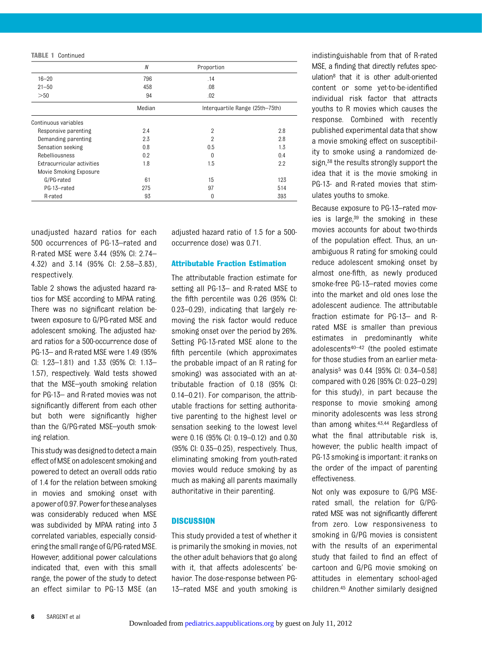TABLE 1 Continued

|                            | $\boldsymbol{N}$ | Proportion     |                                 |  |
|----------------------------|------------------|----------------|---------------------------------|--|
| $16 - 20$                  | 796              | .14            |                                 |  |
| $21 - 50$                  | 458              | .08            |                                 |  |
| >50                        | 94               | $.02\,$        |                                 |  |
|                            | Median           |                | Interquartile Range (25th-75th) |  |
| Continuous variables       |                  |                |                                 |  |
| Responsive parenting       | 2.4              | $\overline{2}$ | 2.8                             |  |
| Demanding parenting        | 2.3              | $\overline{2}$ | 2.8                             |  |
| Sensation seeking          | 0.8              | 0.5            | 1.3                             |  |
| Rebelliousness             | 0.2              | $\Omega$       | 0.4                             |  |
| Extracurricular activities | 1.8              | 1.5            | 2.2                             |  |
| Movie Smoking Exposure     |                  |                |                                 |  |
| G/PG-rated                 | 61               | 15             | 123                             |  |
| PG-13-rated                | 275              | 97             | 514                             |  |
| R-rated                    | 93               | 0              | 393                             |  |

unadjusted hazard ratios for each 500 occurrences of PG-13–rated and R-rated MSE were 3.44 (95% CI: 2.74– 4.32) and 3.14 (95% CI: 2.58–3.83), respectively.

Table 2 shows the adjusted hazard ratios for MSE according to MPAA rating. There was no significant relation between exposure to G/PG-rated MSE and adolescent smoking. The adjusted hazard ratios for a 500-occurrence dose of PG-13– and R-rated MSE were 1.49 (95% CI: 1.23–1.81) and 1.33 (95% CI: 1.13– 1.57), respectively. Wald tests showed that the MSE–youth smoking relation for PG-13– and R-rated movies was not significantly different from each other but both were significantly higher than the G/PG-rated MSE–youth smoking relation.

This study was designed to detect a main effect ofMSE on adolescent smoking and powered to detect an overall odds ratio of 1.4 for the relation between smoking in movies and smoking onset with apowerof0.97.Powerfortheseanalyses was considerably reduced when MSE was subdivided by MPAA rating into 3 correlated variables, especially considering the small range of G/PG-rated MSE. However, additional power calculations indicated that, even with this small range, the power of the study to detect an effect similar to PG-13 MSE (an adjusted hazard ratio of 1.5 for a 500 occurrence dose) was 0.71.

#### Attributable Fraction Estimation

The attributable fraction estimate for setting all PG-13– and R-rated MSE to the fifth percentile was 0.26 (95% CI: 0.23–0.29), indicating that largely removing the risk factor would reduce smoking onset over the period by 26%. Setting PG-13-rated MSE alone to the fifth percentile (which approximates the probable impact of an R rating for smoking) was associated with an attributable fraction of 0.18 (95% CI: 0.14–0.21). For comparison, the attributable fractions for setting authoritative parenting to the highest level or sensation seeking to the lowest level were 0.16 (95% CI: 0.19–0.12) and 0.30 (95% CI: 0.35–0.25), respectively. Thus, eliminating smoking from youth-rated movies would reduce smoking by as much as making all parents maximally authoritative in their parenting.

#### **DISCUSSION**

This study provided a test of whether it is primarily the smoking in movies, not the other adult behaviors that go along with it, that affects adolescents' behavior. The dose-response between PG-13–rated MSE and youth smoking is

indistinguishable from that of R-rated MSE, a finding that directly refutes speculation8 that it is other adult-oriented content or some yet-to-be-identified individual risk factor that attracts youths to R movies which causes the response. Combined with recently published experimental data that show a movie smoking effect on susceptibility to smoke using a randomized design,<sup>38</sup> the results strongly support the idea that it is the movie smoking in PG-13- and R-rated movies that stimulates youths to smoke.

Because exposure to PG-13–rated movies is large, $39$  the smoking in these movies accounts for about two-thirds of the population effect. Thus, an unambiguous R rating for smoking could reduce adolescent smoking onset by almost one-fifth, as newly produced smoke-free PG-13–rated movies come into the market and old ones lose the adolescent audience. The attributable fraction estimate for PG-13– and Rrated MSE is smaller than previous estimates in predominantly white adolescents40–<sup>42</sup> (the pooled estimate for those studies from an earlier metaanalysis5 was 0.44 [95% CI: 0.34–0.58] compared with 0.26 [95% CI: 0.23–0.29] for this study), in part because the response to movie smoking among minority adolescents was less strong than among whites.43,44 Regardless of what the final attributable risk is, however, the public health impact of PG-13 smoking is important: it ranks on the order of the impact of parenting effectiveness.

Not only was exposure to G/PG MSErated small, the relation for G/PGrated MSE was not significantly different from zero. Low responsiveness to smoking in G/PG movies is consistent with the results of an experimental study that failed to find an effect of cartoon and G/PG movie smoking on attitudes in elementary school-aged children.45 Another similarly designed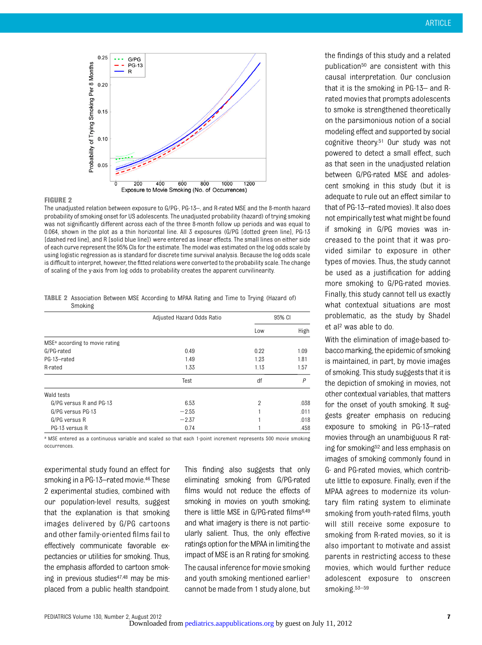

#### FIGURE 2

The unadjusted relation between exposure to G/PG-, PG-13–, and R-rated MSE and the 8-month hazard probability of smoking onset for US adolescents. The unadjusted probability (hazard) of trying smoking was not significantly different across each of the three 8-month follow up periods and was equal to 0.064, shown in the plot as a thin horizontal line. All 3 exposures (G/PG [dotted green line], PG-13 [dashed red line], and R [solid blue line]) were entered as linear effects. The small lines on either side of each curve represent the 95% CIs for the estimate. The model was estimated on the log odds scale by using logistic regression as is standard for discrete time survival analysis. Because the log odds scale is difficult to interpret, however, the fitted relations were converted to the probability scale. The change of scaling of the y-axis from log odds to probability creates the apparent curvilinearity.

TABLE 2 Association Between MSE According to MPAA Rating and Time to Trying (Hazard of) Smoking

|                                            | Adjusted Hazard Odds Ratio | 95% CI         |      |
|--------------------------------------------|----------------------------|----------------|------|
|                                            |                            | Low            | High |
| MSE <sup>a</sup> according to movie rating |                            |                |      |
| G/PG-rated                                 | 0.49                       | 0.22           | 1.09 |
| PG-13-rated                                | 1.49                       | 1.23           | 1.81 |
| R-rated                                    | 1.33                       | 1.13           | 1.57 |
|                                            | Test                       | df             | P    |
| Wald tests                                 |                            |                |      |
| G/PG versus R and PG-13                    | 6.53                       | $\overline{2}$ | .038 |
| G/PG versus PG-13                          | $-2.55$                    |                | .011 |
| G/PG versus R                              | $-2.37$                    |                | .018 |
| PG-13 versus R                             | 0.74                       |                | .458 |

a MSE entered as a continuous variable and scaled so that each 1-point increment represents 500 movie smoking occurrences.

experimental study found an effect for smoking in a PG-13–rated movie.<sup>46</sup> These 2 experimental studies, combined with our population-level results, suggest that the explanation is that smoking images delivered by G/PG cartoons and other family-oriented films fail to effectively communicate favorable expectancies or utilities for smoking. Thus, the emphasis afforded to cartoon smoking in previous studies<sup>47,48</sup> may be misplaced from a public health standpoint. This finding also suggests that only eliminating smoking from G/PG-rated films would not reduce the effects of smoking in movies on youth smoking; there is little MSE in G/PG-rated films<sup>6,49</sup> and what imagery is there is not particularly salient. Thus, the only effective ratings option for the MPAA in limiting the impact of MSE is an R rating for smoking.

The causal inference for movie smoking and youth smoking mentioned earlier<sup>1</sup> cannot be made from 1 study alone, but the findings of this study and a related publication<sup>50</sup> are consistent with this causal interpretation. Our conclusion that it is the smoking in PG-13– and Rrated movies that prompts adolescents to smoke is strengthened theoretically on the parsimonious notion of a social modeling effect and supported by social cognitive theory.51 Our study was not powered to detect a small effect, such as that seen in the unadjusted relation between G/PG-rated MSE and adolescent smoking in this study (but it is adequate to rule out an effect similar to that of PG-13–rated movies). It also does not empirically test what might be found if smoking in G/PG movies was increased to the point that it was provided similar to exposure in other types of movies. Thus, the study cannot be used as a justification for adding more smoking to G/PG-rated movies. Finally, this study cannot tell us exactly what contextual situations are most problematic, as the study by Shadel et al2 was able to do.

With the elimination of image-based tobacco marking, the epidemic of smoking is maintained, in part, by movie images of smoking. This study suggests that it is the depiction of smoking in movies, not other contextual variables, that matters for the onset of youth smoking. It suggests greater emphasis on reducing exposure to smoking in PG-13–rated movies through an unambiguous R rating for smoking52 and less emphasis on images of smoking commonly found in G- and PG-rated movies, which contribute little to exposure. Finally, even if the MPAA agrees to modernize its voluntary film rating system to eliminate smoking from youth-rated films, youth will still receive some exposure to smoking from R-rated movies, so it is also important to motivate and assist parents in restricting access to these movies, which would further reduce adolescent exposure to onscreen smoking.53–<sup>59</sup>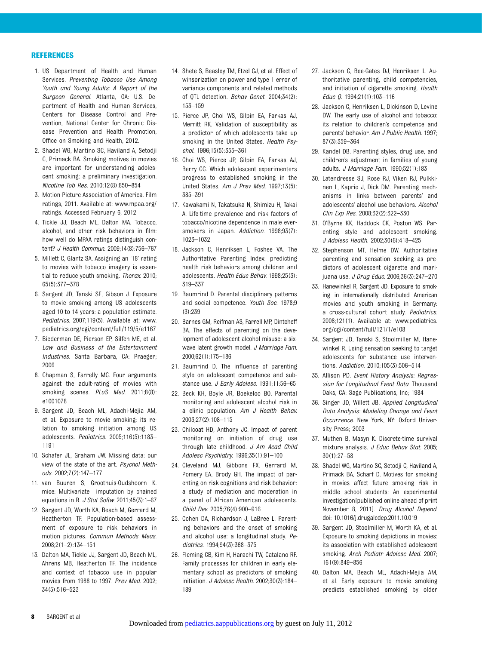#### **REFERENCES**

- 1. US Department of Health and Human Services. Preventing Tobacco Use Among Youth and Young Adults: A Report of the Surgeon General. Atlanta, GA: U.S. Department of Health and Human Services, Centers for Disease Control and Prevention, National Center for Chronic Disease Prevention and Health Promotion, Office on Smoking and Health, 2012.
- 2. Shadel WG, Martino SC, Haviland A, Setodji C, Primack BA. Smoking motives in movies are important for understanding adolescent smoking: a preliminary investigation. Nicotine Tob Res. 2010;12(8):850–854
- 3. Motion Picture Association of America. Film ratings, 2011. Available at: [www.mpaa.org/](http://www.mpaa.org/ratings) [ratings](http://www.mpaa.org/ratings). Accessed February 6, 2012
- 4. Tickle JJ, Beach ML, Dalton MA. Tobacco, alcohol, and other risk behaviors in film: how well do MPAA ratings distinguish content? J Health Commun. 2009;14(8):756–767
- 5. Millett C, Glantz SA. Assigning an '18' rating to movies with tobacco imagery is essential to reduce youth smoking. Thorax. 2010; 65(5):377–378
- 6. Sargent JD, Tanski SE, Gibson J. Exposure to movie smoking among US adolescents aged 10 to 14 years: a population estimate. Pediatrics. 2007;119(5). Available at: www. pediatrics.org/cgi/content/full/119/5/e1167
- 7. Biederman DE, Pierson EP, Silfen ME, et al. Law and Business of the Entertainment Industries. Santa Barbara, CA: Praeger; 2006
- 8. Chapman S, Farrelly MC. Four arguments against the adult-rating of movies with smoking scenes. PLoS Med. 2011;8(8): e1001078
- 9. Sargent JD, Beach ML, Adachi-Mejia AM, et al. Exposure to movie smoking: its relation to smoking initiation among US adolescents. Pediatrics. 2005;116(5):1183– 1191
- 10. Schafer JL, Graham JW. Missing data: our view of the state of the art. Psychol Methods. 2002;7(2):147–177
- 11. van Buuren S, Groothuis-Oudshoorn K. mice: Multivariate imputation by chained equations in R. J Stat Softw. 2011;45(3):1–67
- 12. Sargent JD, Worth KA, Beach M, Gerrard M, Heatherton TF. Population-based assessment of exposure to risk behaviors in motion pictures. Commun Methods Meas. 2008;2(1–2):134–151
- 13. Dalton MA, Tickle JJ, Sargent JD, Beach ML, Ahrens MB, Heatherton TF. The incidence and context of tobacco use in popular movies from 1988 to 1997. Prev Med. 2002; 34(5):516–523
- 14. Shete S, Beasley TM, Etzel CJ, et al. Effect of winsorization on power and type 1 error of variance components and related methods of QTL detection. Behav Genet. 2004;34(2): 153–159
- 15. Pierce JP, Choi WS, Gilpin EA, Farkas AJ, Merritt RK. Validation of susceptibility as a predictor of which adolescents take up smoking in the United States. Health Psychol. 1996;15(5):355–361
- 16. Choi WS, Pierce JP, Gilpin EA, Farkas AJ, Berry CC. Which adolescent experimenters progress to established smoking in the United States. Am J Prev Med. 1997;13(5): 385–391
- 17. Kawakami N, Takatsuka N, Shimizu H, Takai A. Life-time prevalence and risk factors of tobacco/nicotine dependence in male eversmokers in Japan. Addiction. 1998;93(7): 1023–1032
- 18. Jackson C, Henriksen L, Foshee VA. The Authoritative Parenting Index: predicting health risk behaviors among children and adolescents. Health Educ Behav. 1998;25(3): 319–337
- 19. Baumrind D. Parental disciplinary patterns and social competence. Youth Soc. 1978;9 (3):239
- 20. Barnes GM, Reifman AS, Farrell MP, Dintcheff BA. The effects of parenting on the development of adolescent alcohol misuse: a sixwave latent growth model. J Marriage Fam. 2000;62(1):175–186
- 21. Baumrind D. The influence of parenting style on adolescent competence and substance use. J Early Adolesc. 1991;11:56-65
- 22. Beck KH, Boyle JR, Boekeloo BO. Parental monitoring and adolescent alcohol risk in a clinic population. Am J Health Behav. 2003;27(2):108–115
- 23. Chilcoat HD, Anthony JC. Impact of parent monitoring on initiation of drug use through late childhood. J Am Acad Child Adolesc Psychiatry. 1996;35(1):91–100
- 24. Cleveland MJ, Gibbons FX, Gerrard M, Pomery EA, Brody GH. The impact of parenting on risk cognitions and risk behavior: a study of mediation and moderation in a panel of African American adolescents. Child Dev. 2005;76(4):900–916
- 25. Cohen DA, Richardson J, LaBree L. Parenting behaviors and the onset of smoking and alcohol use: a longitudinal study. Pediatrics. 1994;94(3):368–375
- 26. Fleming CB, Kim H, Harachi TW, Catalano RF. Family processes for children in early elementary school as predictors of smoking initiation. J Adolesc Health. 2002;30(3):184– 189
- 27. Jackson C, Bee-Gates DJ, Henriksen L. Authoritative parenting, child competencies, and initiation of cigarette smoking. Health Educ Q. 1994;21(1):103–116
- 28. Jackson C, Henriksen L, Dickinson D, Levine DW. The early use of alcohol and tobacco: its relation to children's competence and parents' behavior. Am J Public Health. 1997; 87(3):359–364
- 29. Kandel DB. Parenting styles, drug use, and children's adjustment in families of young adults. J Marriage Fam. 1990;52(1):183
- 30. Latendresse SJ, Rose RJ, Viken RJ, Pulkkinen L, Kaprio J, Dick DM. Parenting mechanisms in links between parents' and adolescents' alcohol use behaviors. Alcohol Clin Exp Res. 2008;32(2):322–330
- 31. O'Byrne KK, Haddock CK, Poston WS. Parenting style and adolescent smoking. J Adolesc Health. 2002;30(6):418–425
- 32. Stephenson MT, Helme DW. Authoritative parenting and sensation seeking as predictors of adolescent cigarette and marijuana use. J Drug Educ. 2006;36(3):247-270
- 33. Hanewinkel R, Sargent JD. Exposure to smoking in internationally distributed American movies and youth smoking in Germany: a cross-cultural cohort study. Pediatrics. 2008;121(1). Available at: www.pediatrics. org/cgi/content/full/121/1/e108
- 34. Sargent JD, Tanski S, Stoolmiller M, Hanewinkel R. Using sensation seeking to target adolescents for substance use interventions. Addiction. 2010;105(3):506–514
- 35. Allison PD. Event History Analysis: Regression for Longitudinal Event Data. Thousand Oaks, CA: Sage Publications, Inc; 1984
- 36. Singer JD, Willett JB. Applied Longitudinal Data Analysis: Modeling Change and Event Occurrence. New York, NY: Oxford University Press; 2003
- 37. Muthen B, Masyn K. Discrete-time survival mixture analysis. J Educ Behav Stat. 2005; 30(1):27–58
- 38. Shadel WG, Martino SC, Setodji C, Haviland A, Primack BA, Scharf D. Motives for smoking in movies affect future smoking risk in middle school students: An experimental investigation[published online ahead of print November 8, 2011]. Drug Alcohol Depend. doi: 10.1016/j.drugalcdep.2011.10.019
- 39. Sargent JD, Stoolmiller M, Worth KA, et al. Exposure to smoking depictions in movies: its association with established adolescent smoking. Arch Pediatr Adolesc Med. 2007; 161(9):849–856
- 40. Dalton MA, Beach ML, Adachi-Mejia AM, et al. Early exposure to movie smoking predicts established smoking by older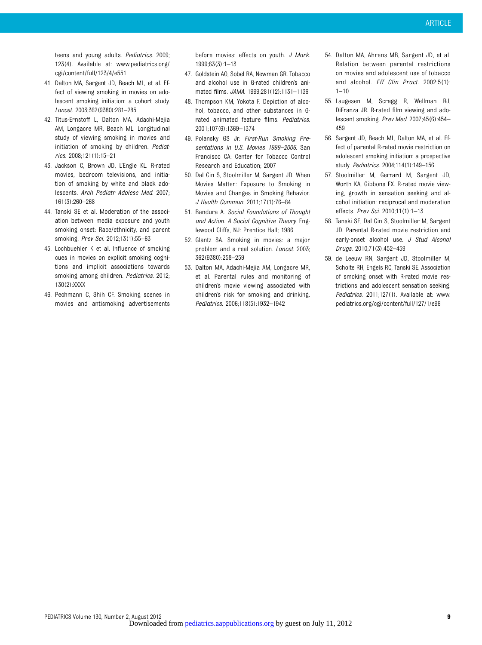teens and young adults. Pediatrics. 2009; 123(4). Available at: www.pediatrics.org/ cgi/content/full/123/4/e551

- 41. Dalton MA, Sargent JD, Beach ML, et al. Effect of viewing smoking in movies on adolescent smoking initiation: a cohort study. Lancet. 2003;362(9380):281–285
- 42. Titus-Ernstoff L, Dalton MA, Adachi-Mejia AM, Longacre MR, Beach ML. Longitudinal study of viewing smoking in movies and initiation of smoking by children. Pediatrics. 2008;121(1):15–21
- 43. Jackson C, Brown JD, L'Engle KL. R-rated movies, bedroom televisions, and initiation of smoking by white and black adolescents. Arch Pediatr Adolesc Med. 2007; 161(3):260–268
- 44. Tanski SE et al. Moderation of the association between media exposure and youth smoking onset: Race/ethnicity, and parent smoking. Prev Sci. 2012;13(1):55–63
- 45. Lochbuehler K et al. Influence of smoking cues in movies on explicit smoking cognitions and implicit associations towards smoking among children. Pediatrics. 2012; 130(2):XXXX
- 46. Pechmann C, Shih CF. Smoking scenes in movies and antismoking advertisements

before movies: effects on youth. J Mark. 1999;63(3):1–13

- 47. Goldstein AO, Sobel RA, Newman GR. Tobacco and alcohol use in G-rated children's animated films. JAMA. 1999;281(12):1131–1136
- 48. Thompson KM, Yokota F. Depiction of alcohol, tobacco, and other substances in Grated animated feature films. Pediatrics. 2001;107(6):1369–1374
- 49. Polansky GS Jr. First-Run Smoking Presentations in U.S. Movies 1999–2006. San Francisco CA: Center for Tobacco Control Research and Education; 2007
- 50. Dal Cin S, Stoolmiller M, Sargent JD. When Movies Matter: Exposure to Smoking in Movies and Changes in Smoking Behavior. J Health Commun. 2011;17(1):76–84
- 51. Bandura A. Social Foundations of Thought and Action. A Social Cognitive Theory. Englewood Cliffs, NJ: Prentice Hall; 1986
- 52. Glantz SA. Smoking in movies: a major problem and a real solution. Lancet. 2003; 362(9380):258–259
- 53. Dalton MA, Adachi-Mejia AM, Longacre MR, et al. Parental rules and monitoring of children's movie viewing associated with children's risk for smoking and drinking. Pediatrics. 2006;118(5):1932–1942
- 54. Dalton MA, Ahrens MB, Sargent JD, et al. Relation between parental restrictions on movies and adolescent use of tobacco and alcohol. Eff Clin Pract. 2002;5(1):  $1 - 10$
- 55. Laugesen M, Scragg R, Wellman RJ, DiFranza JR. R-rated film viewing and adolescent smoking. Prev Med. 2007;45(6):454– 459
- 56. Sargent JD, Beach ML, Dalton MA, et al. Effect of parental R-rated movie restriction on adolescent smoking initiation: a prospective study. Pediatrics. 2004;114(1):149–156
- 57. Stoolmiller M, Gerrard M, Sargent JD, Worth KA, Gibbons FX. R-rated movie viewing, growth in sensation seeking and alcohol initiation: reciprocal and moderation effects. Prev Sci. 2010;11(1):1–13
- 58. Tanski SE, Dal Cin S, Stoolmiller M, Sargent JD. Parental R-rated movie restriction and early-onset alcohol use. J Stud Alcohol Drugs. 2010;71(3):452–459
- 59. de Leeuw RN, Sargent JD, Stoolmiller M, Scholte RH, Engels RC, Tanski SE. Association of smoking onset with R-rated movie restrictions and adolescent sensation seeking. Pediatrics. 2011;127(1). Available at: www. pediatrics.org/cgi/content/full/127/1/e96